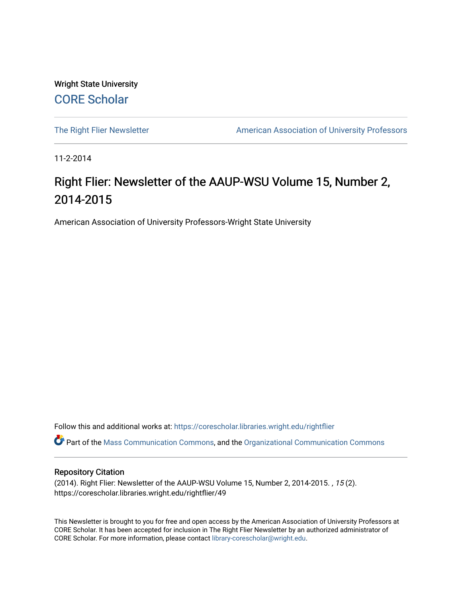Wright State University [CORE Scholar](https://corescholar.libraries.wright.edu/)

[The Right Flier Newsletter](https://corescholar.libraries.wright.edu/rightflier) **American Association of University Professors** 

11-2-2014

#### Right Flier: Newsletter of the AAUP-WSU Volume 15, Number 2, 2014-2015

American Association of University Professors-Wright State University

Follow this and additional works at: [https://corescholar.libraries.wright.edu/rightflier](https://corescholar.libraries.wright.edu/rightflier?utm_source=corescholar.libraries.wright.edu%2Frightflier%2F49&utm_medium=PDF&utm_campaign=PDFCoverPages) 

Part of the [Mass Communication Commons,](http://network.bepress.com/hgg/discipline/334?utm_source=corescholar.libraries.wright.edu%2Frightflier%2F49&utm_medium=PDF&utm_campaign=PDFCoverPages) and the [Organizational Communication Commons](http://network.bepress.com/hgg/discipline/335?utm_source=corescholar.libraries.wright.edu%2Frightflier%2F49&utm_medium=PDF&utm_campaign=PDFCoverPages) 

#### Repository Citation

(2014). Right Flier: Newsletter of the AAUP-WSU Volume 15, Number 2, 2014-2015. , 15 (2). https://corescholar.libraries.wright.edu/rightflier/49

This Newsletter is brought to you for free and open access by the American Association of University Professors at CORE Scholar. It has been accepted for inclusion in The Right Flier Newsletter by an authorized administrator of CORE Scholar. For more information, please contact [library-corescholar@wright.edu](mailto:library-corescholar@wright.edu).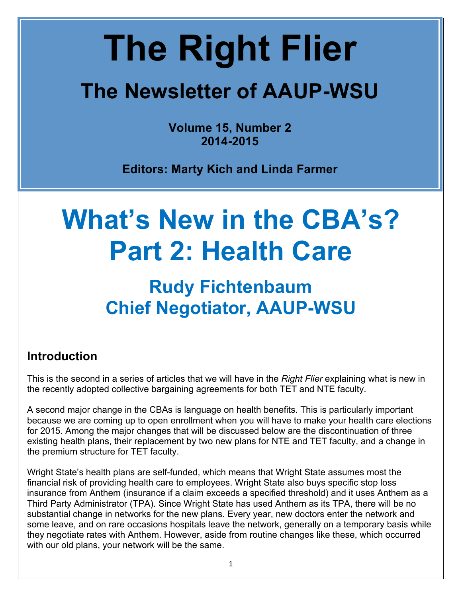# **The Right Flier**

## **The Newsletter of AAUP-WSU**

**Volume 15, Number 2 2014-2015**

**Editors: Marty Kich and Linda Farmer**

## **What's New in the CBA's? Part 2: Health Care**

### **Rudy Fichtenbaum Chief Negotiator, AAUP-WSU**

#### **Introduction**

This is the second in a series of articles that we will have in the *Right Flier* explaining what is new in the recently adopted collective bargaining agreements for both TET and NTE faculty.

A second major change in the CBAs is language on health benefits. This is particularly important because we are coming up to open enrollment when you will have to make your health care elections for 2015. Among the major changes that will be discussed below are the discontinuation of three existing health plans, their replacement by two new plans for NTE and TET faculty, and a change in the premium structure for TET faculty.

Wright State's health plans are self-funded, which means that Wright State assumes most the financial risk of providing health care to employees. Wright State also buys specific stop loss insurance from Anthem (insurance if a claim exceeds a specified threshold) and it uses Anthem as a Third Party Administrator (TPA). Since Wright State has used Anthem as its TPA, there will be no substantial change in networks for the new plans. Every year, new doctors enter the network and some leave, and on rare occasions hospitals leave the network, generally on a temporary basis while they negotiate rates with Anthem. However, aside from routine changes like these, which occurred with our old plans, your network will be the same.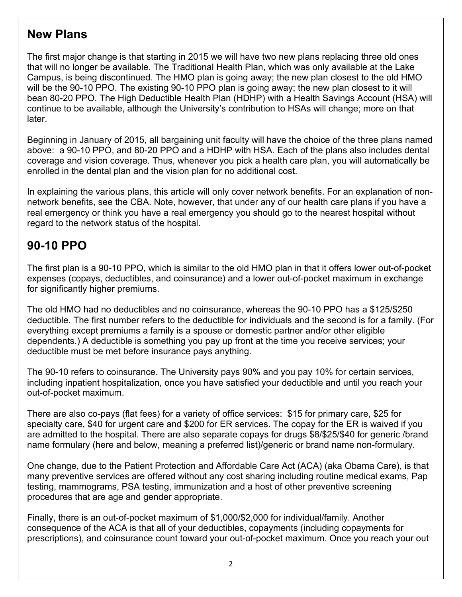#### **New Plans**

The first major change is that starting in 2015 we will have two new plans replacing three old ones that will no longer be available. The Traditional Health Plan, which was only available at the Lake Campus, is being discontinued. The HMO plan is going away; the new plan closest to the old HMO will be the 90-10 PPO. The existing 90-10 PPO plan is going away; the new plan closest to it will bean 80-20 PPO. The High Deductible Health Plan (HDHP) with a Health Savings Account (HSA) will continue to be available, although the University's contribution to HSAs will change; more on that later.

Beginning in January of 2015, all bargaining unit faculty will have the choice of the three plans named above: a 90-10 PPO, and 80-20 PPO and a HDHP with HSA. Each of the plans also includes dental coverage and vision coverage. Thus, whenever you pick a health care plan, you will automatically be enrolled in the dental plan and the vision plan for no additional cost.

In explaining the various plans, this article will only cover network benefits. For an explanation of nonnetwork benefits, see the CBA. Note, however, that under any of our health care plans if you have a real emergency or think you have a real emergency you should go to the nearest hospital without regard to the network status of the hospital.

#### **90-10 PPO**

The first plan is a 90-10 PPO, which is similar to the old HMO plan in that it offers lower out-of-pocket expenses (copays, deductibles, and coinsurance) and a lower out-of-pocket maximum in exchange for significantly higher premiums.

The old HMO had no deductibles and no coinsurance, whereas the 90-10 PPO has a \$125/\$250 deductible. The first number refers to the deductible for individuals and the second is for a family. (For everything except premiums a family is a spouse or domestic partner and/or other eligible dependents.) A deductible is something you pay up front at the time you receive services; your deductible must be met before insurance pays anything.

The 90-10 refers to coinsurance. The University pays 90% and you pay 10% for certain services, including inpatient hospitalization, once you have satisfied your deductible and until you reach your out-of-pocket maximum.

There are also co-pays (flat fees) for a variety of office services: \$15 for primary care, \$25 for specialty care, \$40 for urgent care and \$200 for ER services. The copay for the ER is waived if you are admitted to the hospital. There are also separate copays for drugs \$8/\$25/\$40 for generic /brand name formulary (here and below, meaning a preferred list)/generic or brand name non-formulary.

One change, due to the Patient Protection and Affordable Care Act (ACA) (aka Obama Care), is that many preventive services are offered without any cost sharing including routine medical exams, Pap testing, mammograms, PSA testing, immunization and a host of other preventive screening procedures that are age and gender appropriate.

Finally, there is an out-of-pocket maximum of \$1,000/\$2,000 for individual/family. Another consequence of the ACA is that all of your deductibles, copayments (including copayments for prescriptions), and coinsurance count toward your out-of-pocket maximum. Once you reach your out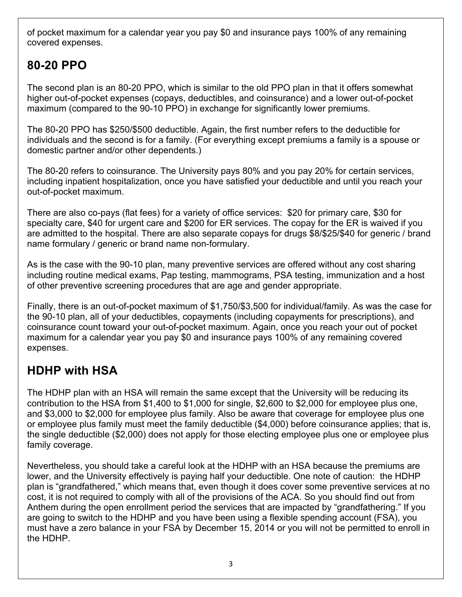of pocket maximum for a calendar year you pay \$0 and insurance pays 100% of any remaining covered expenses.

#### **80-20 PPO**

The second plan is an 80-20 PPO, which is similar to the old PPO plan in that it offers somewhat higher out-of-pocket expenses (copays, deductibles, and coinsurance) and a lower out-of-pocket maximum (compared to the 90-10 PPO) in exchange for significantly lower premiums.

The 80-20 PPO has \$250/\$500 deductible. Again, the first number refers to the deductible for individuals and the second is for a family. (For everything except premiums a family is a spouse or domestic partner and/or other dependents.)

The 80-20 refers to coinsurance. The University pays 80% and you pay 20% for certain services, including inpatient hospitalization, once you have satisfied your deductible and until you reach your out-of-pocket maximum.

There are also co-pays (flat fees) for a variety of office services: \$20 for primary care, \$30 for specialty care, \$40 for urgent care and \$200 for ER services. The copay for the ER is waived if you are admitted to the hospital. There are also separate copays for drugs \$8/\$25/\$40 for generic / brand name formulary / generic or brand name non-formulary.

As is the case with the 90-10 plan, many preventive services are offered without any cost sharing including routine medical exams, Pap testing, mammograms, PSA testing, immunization and a host of other preventive screening procedures that are age and gender appropriate.

Finally, there is an out-of-pocket maximum of \$1,750/\$3,500 for individual/family. As was the case for the 90-10 plan, all of your deductibles, copayments (including copayments for prescriptions), and coinsurance count toward your out-of-pocket maximum. Again, once you reach your out of pocket maximum for a calendar year you pay \$0 and insurance pays 100% of any remaining covered expenses.

#### **HDHP with HSA**

The HDHP plan with an HSA will remain the same except that the University will be reducing its contribution to the HSA from \$1,400 to \$1,000 for single, \$2,600 to \$2,000 for employee plus one, and \$3,000 to \$2,000 for employee plus family. Also be aware that coverage for employee plus one or employee plus family must meet the family deductible (\$4,000) before coinsurance applies; that is, the single deductible (\$2,000) does not apply for those electing employee plus one or employee plus family coverage.

Nevertheless, you should take a careful look at the HDHP with an HSA because the premiums are lower, and the University effectively is paying half your deductible. One note of caution: the HDHP plan is "grandfathered," which means that, even though it does cover some preventive services at no cost, it is not required to comply with all of the provisions of the ACA. So you should find out from Anthem during the open enrollment period the services that are impacted by "grandfathering." If you are going to switch to the HDHP and you have been using a flexible spending account (FSA), you must have a zero balance in your FSA by December 15, 2014 or you will not be permitted to enroll in the HDHP.